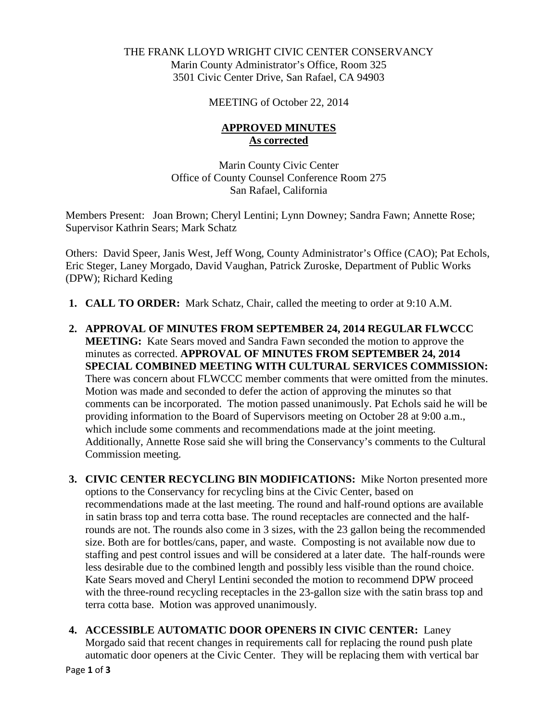## THE FRANK LLOYD WRIGHT CIVIC CENTER CONSERVANCY Marin County Administrator's Office, Room 325 3501 Civic Center Drive, San Rafael, CA 94903

MEETING of October 22, 2014

## **APPROVED MINUTES As corrected**

Marin County Civic Center Office of County Counsel Conference Room 275 San Rafael, California

Members Present: Joan Brown; Cheryl Lentini; Lynn Downey; Sandra Fawn; Annette Rose; Supervisor Kathrin Sears; Mark Schatz

Others: David Speer, Janis West, Jeff Wong, County Administrator's Office (CAO); Pat Echols, Eric Steger, Laney Morgado, David Vaughan, Patrick Zuroske, Department of Public Works (DPW); Richard Keding

- **1. CALL TO ORDER:** Mark Schatz, Chair, called the meeting to order at 9:10 A.M.
- **2. APPROVAL OF MINUTES FROM SEPTEMBER 24, 2014 REGULAR FLWCCC MEETING:** Kate Sears moved and Sandra Fawn seconded the motion to approve the minutes as corrected. **APPROVAL OF MINUTES FROM SEPTEMBER 24, 2014 SPECIAL COMBINED MEETING WITH CULTURAL SERVICES COMMISSION:**  There was concern about FLWCCC member comments that were omitted from the minutes. Motion was made and seconded to defer the action of approving the minutes so that comments can be incorporated. The motion passed unanimously. Pat Echols said he will be providing information to the Board of Supervisors meeting on October 28 at 9:00 a.m., which include some comments and recommendations made at the joint meeting. Additionally, Annette Rose said she will bring the Conservancy's comments to the Cultural Commission meeting.
- **3. CIVIC CENTER RECYCLING BIN MODIFICATIONS:** Mike Norton presented more options to the Conservancy for recycling bins at the Civic Center, based on recommendations made at the last meeting. The round and half-round options are available in satin brass top and terra cotta base. The round receptacles are connected and the halfrounds are not. The rounds also come in 3 sizes, with the 23 gallon being the recommended size. Both are for bottles/cans, paper, and waste. Composting is not available now due to staffing and pest control issues and will be considered at a later date. The half-rounds were less desirable due to the combined length and possibly less visible than the round choice. Kate Sears moved and Cheryl Lentini seconded the motion to recommend DPW proceed with the three-round recycling receptacles in the 23-gallon size with the satin brass top and terra cotta base. Motion was approved unanimously.
- **4. ACCESSIBLE AUTOMATIC DOOR OPENERS IN CIVIC CENTER:** Laney Morgado said that recent changes in requirements call for replacing the round push plate automatic door openers at the Civic Center. They will be replacing them with vertical bar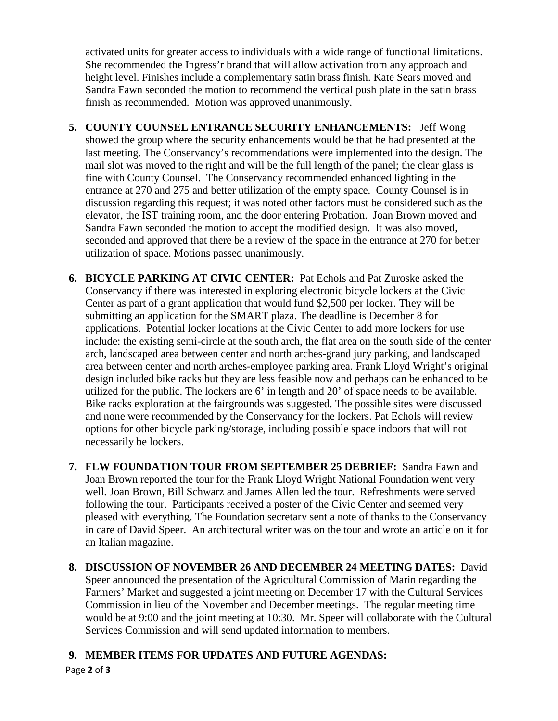activated units for greater access to individuals with a wide range of functional limitations. She recommended the Ingress'r brand that will allow activation from any approach and height level. Finishes include a complementary satin brass finish. Kate Sears moved and Sandra Fawn seconded the motion to recommend the vertical push plate in the satin brass finish as recommended. Motion was approved unanimously.

- **5. COUNTY COUNSEL ENTRANCE SECURITY ENHANCEMENTS:** Jeff Wong showed the group where the security enhancements would be that he had presented at the last meeting. The Conservancy's recommendations were implemented into the design. The mail slot was moved to the right and will be the full length of the panel; the clear glass is fine with County Counsel. The Conservancy recommended enhanced lighting in the entrance at 270 and 275 and better utilization of the empty space. County Counsel is in discussion regarding this request; it was noted other factors must be considered such as the elevator, the IST training room, and the door entering Probation. Joan Brown moved and Sandra Fawn seconded the motion to accept the modified design. It was also moved, seconded and approved that there be a review of the space in the entrance at 270 for better utilization of space. Motions passed unanimously.
- **6. BICYCLE PARKING AT CIVIC CENTER:** Pat Echols and Pat Zuroske asked the Conservancy if there was interested in exploring electronic bicycle lockers at the Civic Center as part of a grant application that would fund \$2,500 per locker. They will be submitting an application for the SMART plaza. The deadline is December 8 for applications. Potential locker locations at the Civic Center to add more lockers for use include: the existing semi-circle at the south arch, the flat area on the south side of the center arch, landscaped area between center and north arches-grand jury parking, and landscaped area between center and north arches-employee parking area. Frank Lloyd Wright's original design included bike racks but they are less feasible now and perhaps can be enhanced to be utilized for the public. The lockers are 6' in length and 20' of space needs to be available. Bike racks exploration at the fairgrounds was suggested. The possible sites were discussed and none were recommended by the Conservancy for the lockers. Pat Echols will review options for other bicycle parking/storage, including possible space indoors that will not necessarily be lockers.
- **7. FLW FOUNDATION TOUR FROM SEPTEMBER 25 DEBRIEF:** Sandra Fawn and Joan Brown reported the tour for the Frank Lloyd Wright National Foundation went very well. Joan Brown, Bill Schwarz and James Allen led the tour. Refreshments were served following the tour. Participants received a poster of the Civic Center and seemed very pleased with everything. The Foundation secretary sent a note of thanks to the Conservancy in care of David Speer. An architectural writer was on the tour and wrote an article on it for an Italian magazine.
- **8. DISCUSSION OF NOVEMBER 26 AND DECEMBER 24 MEETING DATES:** David Speer announced the presentation of the Agricultural Commission of Marin regarding the Farmers' Market and suggested a joint meeting on December 17 with the Cultural Services Commission in lieu of the November and December meetings. The regular meeting time would be at 9:00 and the joint meeting at 10:30. Mr. Speer will collaborate with the Cultural Services Commission and will send updated information to members.

## **9. MEMBER ITEMS FOR UPDATES AND FUTURE AGENDAS:**

Page **2** of **3**